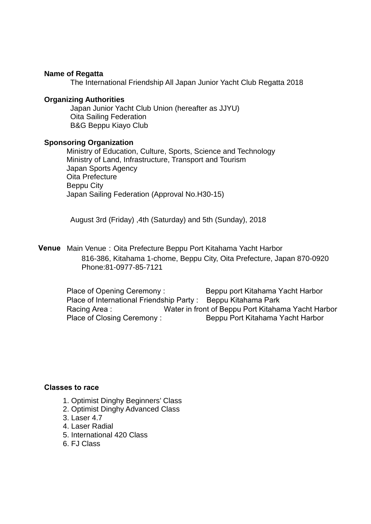#### **Name of Regatta**

The International Friendship All Japan Junior Yacht Club Regatta 2018

#### **Organizing Authorities**

Japan Junior Yacht Club Union (hereafter as JJYU) Oita Sailing Federation B&G Beppu Kiayo Club

#### **Sponsoring Organization**

Ministry of Education, Culture, Sports, Science and Technology Ministry of Land, Infrastructure, Transport and Tourism Japan Sports Agency Oita Prefecture Beppu City Japan Sailing Federation (Approval No.H30-15)

August 3rd (Friday) ,4th (Saturday) and 5th (Sunday), 2018

**Venue** Main Venue:Oita Prefecture Beppu Port Kitahama Yacht Harbor 816-386, Kitahama 1-chome, Beppu City, Oita Prefecture, Japan 870-0920 Phone:81-0977-85-7121

Place of Opening Ceremony : Beppu port Kitahama Yacht Harbor Place of International Friendship Party : Beppu Kitahama Park Racing Area : Water in front of Beppu Port Kitahama Yacht Harbor Place of Closing Ceremony : Beppu Port Kitahama Yacht Harbor

## **Classes to race**

- 1. Optimist Dinghy Beginners' Class
- 2. Optimist Dinghy Advanced Class
- 3. Laser 4.7
- 4. Laser Radial
- 5. International 420 Class
- 6. FJ Class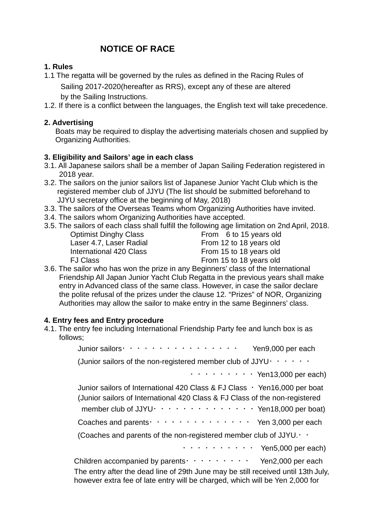# **NOTICE OF RACE**

# **1. Rules**

- 1.1 The regatta will be governed by the rules as defined in the Racing Rules of Sailing 2017‐2020(hereafter as RRS), except any of these are altered by the Sailing Instructions.
- 1.2. If there is a conflict between the languages, the English text will take precedence.

# **2. Advertising**

Boats may be required to display the advertising materials chosen and supplied by Organizing Authorities.

# **3. Eligibility and Sailors' age in each class**

- 3.1. All Japanese sailors shall be a member of Japan Sailing Federation registered in 2018 year.
- 3.2. The sailors on the junior sailors list of Japanese Junior Yacht Club which is the registered member club of JJYU (The list should be submitted beforehand to JJYU secretary office at the beginning of May, 2018)
- 3.3. The sailors of the Overseas Teams whom Organizing Authorities have invited.
- 3.4. The sailors whom Organizing Authorities have accepted.
- 3.5. The sailors of each class shall fulfill the following age limitation on 2nd April, 2018.

Optimist Dinghy Class From 6 to 15 years old Laser 4.7, Laser Radial From 12 to 18 years old International 420 Class From 15 to 18 years old FJ Class From 15 to 18 years old

3.6. The sailor who has won the prize in any Beginners' class of the International Friendship All Japan Junior Yacht Club Regatta in the previous years shall make entry in Advanced class of the same class. However, in case the sailor declare the polite refusal of the prizes under the clause 12. "Prizes" of NOR, Organizing Authorities may allow the sailor to make entry in the same Beginners' class.

# **4. Entry fees and Entry procedure**

4.1. The entry fee including International Friendship Party fee and lunch box is as follows;

| Junior sailors · · · · · · · · · · · · · · · · · ·<br>Yen9,000 per each                                                                                                                                                                                                             |
|-------------------------------------------------------------------------------------------------------------------------------------------------------------------------------------------------------------------------------------------------------------------------------------|
| (Junior sailors of the non-registered member club of JJYU $\cdot \cdot \cdot \cdot \cdot \cdot$                                                                                                                                                                                     |
| $\cdots$ $\cdots$ $\cdots$ $\cdots$ Yen13,000 per each)                                                                                                                                                                                                                             |
| Junior sailors of International 420 Class & FJ Class $\cdot$ Yen16,000 per boat<br>(Junior sailors of International 420 Class & FJ Class of the non-registered<br>member club of JJYU $\cdot \cdot \cdot \cdot \cdot \cdot \cdot \cdot \cdot \cdot \cdot \cdot$ Yen18,000 per boat) |
| Coaches and parents $\cdots$ $\cdots$ $\cdots$ $\cdots$ $\cdots$ Yen 3,000 per each                                                                                                                                                                                                 |
| (Coaches and parents of the non-registered member club of JJYU. $\cdot$ .                                                                                                                                                                                                           |
| $\cdots$ $\cdots$ $\cdots$ $\cdots$ Yen5,000 per each)                                                                                                                                                                                                                              |
| Children accompanied by parents $\cdots$ $\cdots$ $\cdots$ Yen2,000 per each<br>The entry after the dead line of 29th June may be still received until 13th July,                                                                                                                   |

however extra fee of late entry will be charged, which will be Yen 2,000 for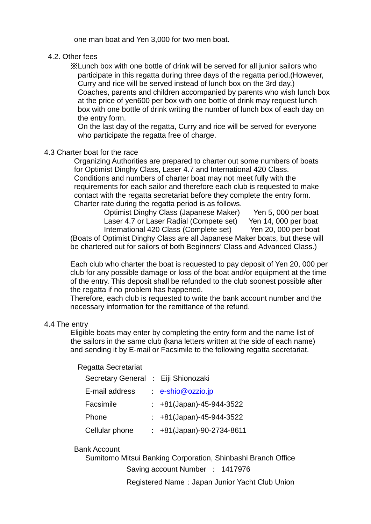one man boat and Yen 3,000 for two men boat.

## 4.2. Other fees

 ※Lunch box with one bottle of drink will be served for all junior sailors who participate in this regatta during three days of the regatta period.(However, Curry and rice will be served instead of lunch box on the 3rd day.) Coaches, parents and children accompanied by parents who wish lunch box at the price of yen600 per box with one bottle of drink may request lunch box with one bottle of drink writing the number of lunch box of each day on the entry form.

 On the last day of the regatta, Curry and rice will be served for everyone who participate the regatta free of charge.

#### 4.3 Charter boat for the race

 Organizing Authorities are prepared to charter out some numbers of boats for Optimist Dinghy Class, Laser 4.7 and International 420 Class. Conditions and numbers of charter boat may not meet fully with the requirements for each sailor and therefore each club is requested to make contact with the regatta secretariat before they complete the entry form. Charter rate during the regatta period is as follows.

 Optimist Dinghy Class (Japanese Maker) Yen 5, 000 per boat Laser 4.7 or Laser Radial (Compete set) Yen 14, 000 per boat International 420 Class (Complete set) Yen 20, 000 per boat (Boats of Optimist Dinghy Class are all Japanese Maker boats, but these will be chartered out for sailors of both Beginners' Class and Advanced Class.)

 Each club who charter the boat is requested to pay deposit of Yen 20, 000 per club for any possible damage or loss of the boat and/or equipment at the time of the entry. This deposit shall be refunded to the club soonest possible after the regatta if no problem has happened.

 Therefore, each club is requested to write the bank account number and the necessary information for the remittance of the refund.

#### 4.4 The entry

 Eligible boats may enter by completing the entry form and the name list of the sailors in the same club (kana letters written at the side of each name) and sending it by E-mail or Facsimile to the following regatta secretariat.

#### Regatta Secretariat

| Secretary General : Eiji Shionozaki |                             |
|-------------------------------------|-----------------------------|
| E-mail address                      | $\cdot$ e-shio@ozzio.jp     |
| Facsimile                           | : $+81$ (Japan)-45-944-3522 |
| Phone                               | : $+81$ (Japan)-45-944-3522 |
| Cellular phone                      | : +81(Japan)-90-2734-8611   |

## Bank Account

 Sumitomo Mitsui Banking Corporation, Shinbashi Branch Office Saving account Number : 1417976

Registered Name: Japan Junior Yacht Club Union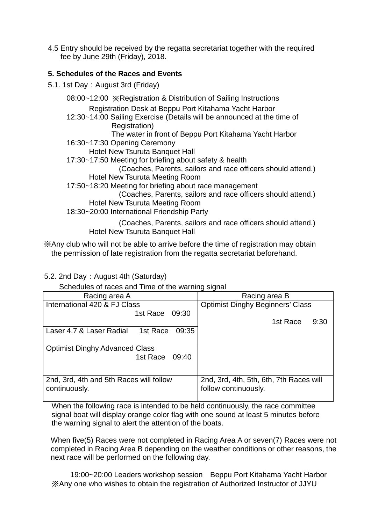4.5 Entry should be received by the regatta secretariat together with the required fee by June 29th (Friday), 2018.

## **5. Schedules of the Races and Events**

5.1. 1st Day: August 3rd (Friday)

 08:00~12:00 ※Registration & Distribution of Sailing Instructions Registration Desk at Beppu Port Kitahama Yacht Harbor 12:30~14:00 Sailing Exercise (Details will be announced at the time of Registration) The water in front of Beppu Port Kitahama Yacht Harbor 16:30~17:30 Opening Ceremony Hotel New Tsuruta Banquet Hall 17:30~17:50 Meeting for briefing about safety & health (Coaches, Parents, sailors and race officers should attend.) Hotel New Tsuruta Meeting Room 17:50~18:20 Meeting for briefing about race management (Coaches, Parents, sailors and race officers should attend.) Hotel New Tsuruta Meeting Room 18:30~20:00 International Friendship Party (Coaches, Parents, sailors and race officers should attend.) Hotel New Tsuruta Banquet Hall

※Any club who will not be able to arrive before the time of registration may obtain the permission of late registration from the regatta secretariat beforehand.

5.2. 2nd Day: August 4th (Saturday)

Schedules of races and Time of the warning signal

| Racing area A                           |                                         | Racing area B                           |
|-----------------------------------------|-----------------------------------------|-----------------------------------------|
| International 420 & FJ Class            | <b>Optimist Dinghy Beginners' Class</b> |                                         |
| 1st Race                                | 09:30                                   |                                         |
|                                         |                                         | 1st Race<br>9:30                        |
| 1st Race<br>Laser 4.7 & Laser Radial    | 09:35                                   |                                         |
|                                         |                                         |                                         |
| <b>Optimist Dinghy Advanced Class</b>   |                                         |                                         |
| 1st Race 09:40                          |                                         |                                         |
|                                         |                                         |                                         |
|                                         |                                         |                                         |
| 2nd, 3rd, 4th and 5th Races will follow |                                         | 2nd, 3rd, 4th, 5th, 6th, 7th Races will |
| continuously.                           |                                         | follow continuously.                    |
|                                         |                                         |                                         |

When the following race is intended to be held continuously, the race committee signal boat will display orange color flag with one sound at least 5 minutes before the warning signal to alert the attention of the boats.

When five(5) Races were not completed in Racing Area A or seven(7) Races were not completed in Racing Area B depending on the weather conditions or other reasons, the next race will be performed on the following day.

 19:00~20:00 Leaders workshop session Beppu Port Kitahama Yacht Harbor ※Any one who wishes to obtain the registration of Authorized Instructor of JJYU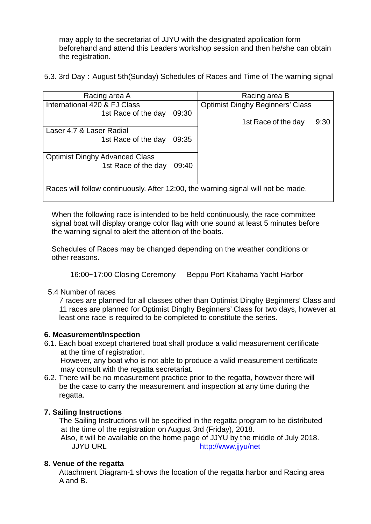may apply to the secretariat of JJYU with the designated application form beforehand and attend this Leaders workshop session and then he/she can obtain the registration.

5.3. 3rd Day: August 5th(Sunday) Schedules of Races and Time of The warning signal

| Racing area A                                                                     | Racing area B                           |  |  |  |
|-----------------------------------------------------------------------------------|-----------------------------------------|--|--|--|
| International 420 & FJ Class                                                      | <b>Optimist Dinghy Beginners' Class</b> |  |  |  |
| 09:30<br>1st Race of the day                                                      |                                         |  |  |  |
|                                                                                   | 9:30<br>1st Race of the day             |  |  |  |
| Laser 4.7 & Laser Radial                                                          |                                         |  |  |  |
| 1st Race of the day<br>09:35                                                      |                                         |  |  |  |
|                                                                                   |                                         |  |  |  |
| <b>Optimist Dinghy Advanced Class</b>                                             |                                         |  |  |  |
| 1st Race of the day<br>09:40                                                      |                                         |  |  |  |
|                                                                                   |                                         |  |  |  |
|                                                                                   |                                         |  |  |  |
| Races will follow continuously. After 12:00, the warning signal will not be made. |                                         |  |  |  |
|                                                                                   |                                         |  |  |  |

When the following race is intended to be held continuously, the race committee signal boat will display orange color flag with one sound at least 5 minutes before the warning signal to alert the attention of the boats.

Schedules of Races may be changed depending on the weather conditions or other reasons.

16:00~17:00 Closing Ceremony Beppu Port Kitahama Yacht Harbor

## 5.4 Number of races

 7 races are planned for all classes other than Optimist Dinghy Beginners' Class and 11 races are planned for Optimist Dinghy Beginners' Class for two days, however at least one race is required to be completed to constitute the series.

## **6. Measurement/Inspection**

6.1. Each boat except chartered boat shall produce a valid measurement certificate at the time of registration.

However, any boat who is not able to produce a valid measurement certificate may consult with the regatta secretariat.

6.2. There will be no measurement practice prior to the regatta, however there will be the case to carry the measurement and inspection at any time during the regatta.

# **7. Sailing Instructions**

The Sailing Instructions will be specified in the regatta program to be distributed at the time of the registration on August 3rd (Friday), 2018.

Also, it will be available on the home page of JJYU by the middle of July 2018.<br>JJYU URL http://www.iivu/net <http://www.jjyu/net>

# **8. Venue of the regatta**

Attachment Diagram-1 shows the location of the regatta harbor and Racing area A and B.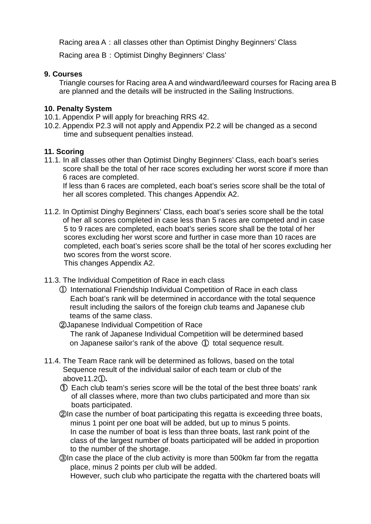Racing area A: all classes other than Optimist Dinghy Beginners' Class

Racing area B: Optimist Dinghy Beginners' Class'

## **9. Courses**

Triangle courses for Racing area A and windward/leeward courses for Racing area B are planned and the details will be instructed in the Sailing Instructions.

## **10. Penalty System**

- 10.1. Appendix P will apply for breaching RRS 42.
- 10.2. Appendix P2.3 will not apply and Appendix P2.2 will be changed as a second time and subsequent penalties instead.

# **11. Scoring**

11.1. In all classes other than Optimist Dinghy Beginners' Class, each boat's series score shall be the total of her race scores excluding her worst score if more than 6 races are completed.

 If less than 6 races are completed, each boat's series score shall be the total of her all scores completed. This changes Appendix A2.

11.2. In Optimist Dinghy Beginners' Class, each boat's series score shall be the total of her all scores completed in case less than 5 races are competed and in case 5 to 9 races are completed, each boat's series score shall be the total of her scores excluding her worst score and further in case more than 10 races are completed, each boat's series score shall be the total of her scores excluding her two scores from the worst score. This changes Appendix A2.

- 11.3. The Individual Competition of Race in each class
	- ① International Friendship Individual Competition of Race in each class Each boat's rank will be determined in accordance with the total sequence result including the sailors of the foreign club teams and Japanese club teams of the same class.
	- ②Japanese Individual Competition of Race The rank of Japanese Individual Competition will be determined based on Japanese sailor's rank of the above ① total sequence result.
- 11.4. The Team Race rank will be determined as follows, based on the total Sequence result of the individual sailor of each team or club of the above11.2①**.**
	- ① Each club team's series score will be the total of the best three boats' rank of all classes where, more than two clubs participated and more than six boats participated.
	- ②In case the number of boat participating this regatta is exceeding three boats, minus 1 point per one boat will be added, but up to minus 5 points. In case the number of boat is less than three boats, last rank point of the class of the largest number of boats participated will be added in proportion to the number of the shortage.
	- ③In case the place of the club activity is more than 500km far from the regatta place, minus 2 points per club will be added.

However, such club who participate the regatta with the chartered boats will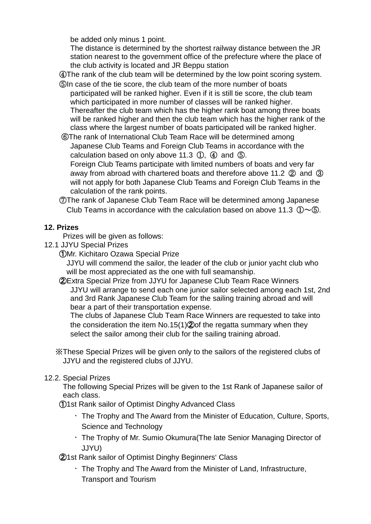be added only minus 1 point.

The distance is determined by the shortest railway distance between the JR station nearest to the government office of the prefecture where the place of the club activity is located and JR Beppu station

④The rank of the club team will be determined by the low point scoring system.

- ⑤In case of the tie score, the club team of the more number of boats participated will be ranked higher. Even if it is still tie score, the club team which participated in more number of classes will be ranked higher. Thereafter the club team which has the higher rank boat among three boats will be ranked higher and then the club team which has the higher rank of the class where the largest number of boats participated will be ranked higher.
- ⑥The rank of International Club Team Race will be determined among Japanese Club Teams and Foreign Club Teams in accordance with the calculation based on only above 11.3  $(1)$ ,  $(4)$  and  $(5)$ . Foreign Club Teams participate with limited numbers of boats and very far

 away from abroad with chartered boats and therefore above 11.2 ② and ③ will not apply for both Japanese Club Teams and Foreign Club Teams in the calculation of the rank points.

 ⑦The rank of Japanese Club Team Race will be determined among Japanese Club Teams in accordance with the calculation based on above 11.3  $(D\sim 6)$ .

# **12. Prizes**

Prizes will be given as follows:

- 12.1 JJYU Special Prizes
	- ①Mr. Kichitaro Ozawa Special Prize

 JJYU will commend the sailor, the leader of the club or junior yacht club who will be most appreciated as the one with full seamanship.

 ②Extra Special Prize from JJYU for Japanese Club Team Race Winners JJYU will arrange to send each one junior sailor selected among each 1st, 2nd and 3rd Rank Japanese Club Team for the sailing training abroad and will bear a part of their transportation expense.

 The clubs of Japanese Club Team Race Winners are requested to take into the consideration the item No.15(1)②of the regatta summary when they select the sailor among their club for the sailing training abroad.

※These Special Prizes will be given only to the sailors of the registered clubs of JJYU and the registered clubs of JJYU.

# 12.2. Special Prizes

The following Special Prizes will be given to the 1st Rank of Japanese sailor of each class.

①1st Rank sailor of Optimist Dinghy Advanced Class

- ・The Trophy and The Award from the Minister of Education, Culture, Sports, Science and Technology
- ・The Trophy of Mr. Sumio Okumura(The late Senior Managing Director of JJYU)

②1st Rank sailor of Optimist Dinghy Beginners' Class

・The Trophy and The Award from the Minister of Land, Infrastructure, Transport and Tourism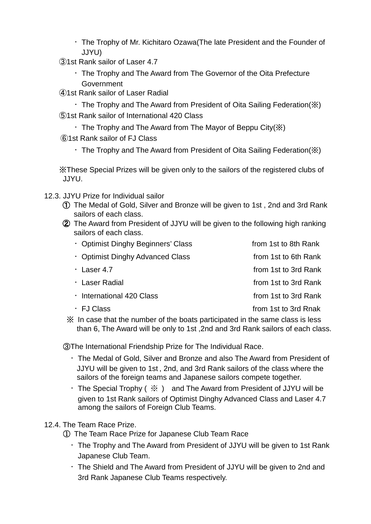・The Trophy of Mr. Kichitaro Ozawa(The late President and the Founder of JJYU)

③1st Rank sailor of Laser 4.7

- ・The Trophy and The Award from The Governor of the Oita Prefecture **Government**
- ④1st Rank sailor of Laser Radial
- $\cdot$  The Trophy and The Award from President of Oita Sailing Federation( $\mathbb{X}$ ) ⑤1st Rank sailor of International 420 Class
	- $\cdot$  The Trophy and The Award from The Mayor of Beppu City( $\mathbb{X}$ )
- ⑥1st Rank sailor of FJ Class
	- ・The Trophy and The Award from President of Oita Sailing Federation(※)

 ※These Special Prizes will be given only to the sailors of the registered clubs of JJYU.

12.3. JJYU Prize for Individual sailor

- ① The Medal of Gold, Silver and Bronze will be given to 1st , 2nd and 3rd Rank sailors of each class.
- ② The Award from President of JJYU will be given to the following high ranking sailors of each class.

| • Optimist Dinghy Beginners' Class | from 1st to 8th Rank |
|------------------------------------|----------------------|
| • Optimist Dinghy Advanced Class   | from 1st to 6th Rank |
| $\cdot$ Laser 4.7                  | from 1st to 3rd Rank |
| ∴ Laser Radial                     | from 1st to 3rd Rank |
| · International 420 Class          | from 1st to 3rd Rank |
| · FJ Class                         | from 1st to 3rd Rnak |

 ※ In case that the number of the boats participated in the same class is less than 6, The Award will be only to 1st ,2nd and 3rd Rank sailors of each class.

③The International Friendship Prize for The Individual Race.

- ・The Medal of Gold, Silver and Bronze and also The Award from President of JJYU will be given to 1st , 2nd, and 3rd Rank sailors of the class where the sailors of the foreign teams and Japanese sailors compete together.
- $\cdot$  The Special Trophy (  $\frac{1}{2}$  ) and The Award from President of JJYU will be given to 1st Rank sailors of Optimist Dinghy Advanced Class and Laser 4.7 among the sailors of Foreign Club Teams.

12.4. The Team Race Prize.

① The Team Race Prize for Japanese Club Team Race

- ・The Trophy and The Award from President of JJYU will be given to 1st Rank Japanese Club Team.
- ・The Shield and The Award from President of JJYU will be given to 2nd and 3rd Rank Japanese Club Teams respectively.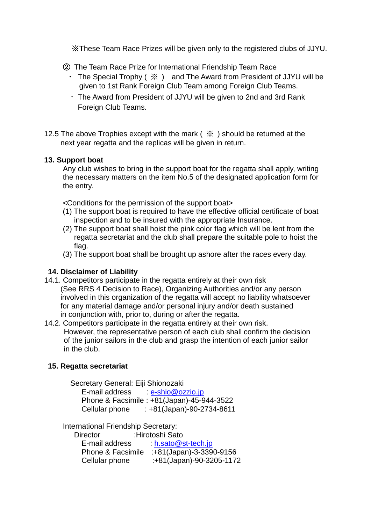※These Team Race Prizes will be given only to the registered clubs of JJYU.

② The Team Race Prize for International Friendship Team Race

- The Special Trophy ( $\frac{1}{2}$ ) and The Award from President of JJYU will be given to 1st Rank Foreign Club Team among Foreign Club Teams.
- ・The Award from President of JJYU will be given to 2nd and 3rd Rank Foreign Club Teams.
- 12.5 The above Trophies except with the mark (  $\frac{1}{2}$  ) should be returned at the next year regatta and the replicas will be given in return.

# **13. Support boat**

 Any club wishes to bring in the support boat for the regatta shall apply, writing the necessary matters on the item No.5 of the designated application form for the entry.

<Conditions for the permission of the support boat>

- (1) The support boat is required to have the effective official certificate of boat inspection and to be insured with the appropriate Insurance.
- (2) The support boat shall hoist the pink color flag which will be lent from the regatta secretariat and the club shall prepare the suitable pole to hoist the flag.
- (3) The support boat shall be brought up ashore after the races every day.

# **14. Disclaimer of Liability**

- 14.1. Competitors participate in the regatta entirely at their own risk (See RRS 4 Decision to Race), Organizing Authorities and/or any person involved in this organization of the regatta will accept no liability whatsoever for any material damage and/or personal injury and/or death sustained in conjunction with, prior to, during or after the regatta.
- 14.2. Competitors participate in the regatta entirely at their own risk. However, the representative person of each club shall confirm the decision of the junior sailors in the club and grasp the intention of each junior sailor in the club.

# **15. Regatta secretariat**

Secretary General: Eiji Shionozaki E-mail address : [e-shio@ozzio.jp](mailto:e-shio@ozzio.jp) Phone & Facsimile : +81(Japan)-45-944-3522 Cellular phone : +81(Japan)-90-2734-8611

International Friendship Secretary:

| $\cdot$ h.sato@st-tech.jp |
|---------------------------|
| :+81(Japan)-3-3390-9156   |
| :+81(Japan)-90-3205-1172  |
|                           |